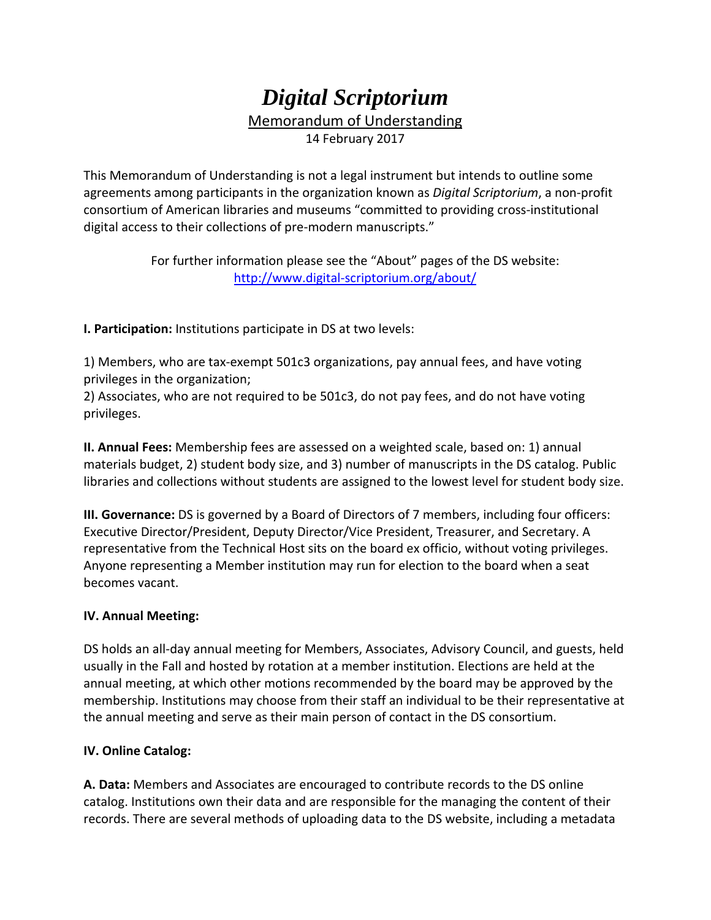## *Digital Scriptorium*  Memorandum of Understanding 14 February 2017

This Memorandum of Understanding is not a legal instrument but intends to outline some agreements among participants in the organization known as *Digital Scriptorium*, a non‐profit consortium of American libraries and museums "committed to providing cross‐institutional digital access to their collections of pre‐modern manuscripts."

> For further information please see the "About" pages of the DS website: http://www.digital‐scriptorium.org/about/

**I. Participation:** Institutions participate in DS at two levels:

1) Members, who are tax‐exempt 501c3 organizations, pay annual fees, and have voting privileges in the organization;

2) Associates, who are not required to be 501c3, do not pay fees, and do not have voting privileges.

**II. Annual Fees:** Membership fees are assessed on a weighted scale, based on: 1) annual materials budget, 2) student body size, and 3) number of manuscripts in the DS catalog. Public libraries and collections without students are assigned to the lowest level for student body size.

**III. Governance:** DS is governed by a Board of Directors of 7 members, including four officers: Executive Director/President, Deputy Director/Vice President, Treasurer, and Secretary. A representative from the Technical Host sits on the board ex officio, without voting privileges. Anyone representing a Member institution may run for election to the board when a seat becomes vacant.

## **IV. Annual Meeting:**

DS holds an all‐day annual meeting for Members, Associates, Advisory Council, and guests, held usually in the Fall and hosted by rotation at a member institution. Elections are held at the annual meeting, at which other motions recommended by the board may be approved by the membership. Institutions may choose from their staff an individual to be their representative at the annual meeting and serve as their main person of contact in the DS consortium.

## **IV. Online Catalog:**

**A. Data:** Members and Associates are encouraged to contribute records to the DS online catalog. Institutions own their data and are responsible for the managing the content of their records. There are several methods of uploading data to the DS website, including a metadata